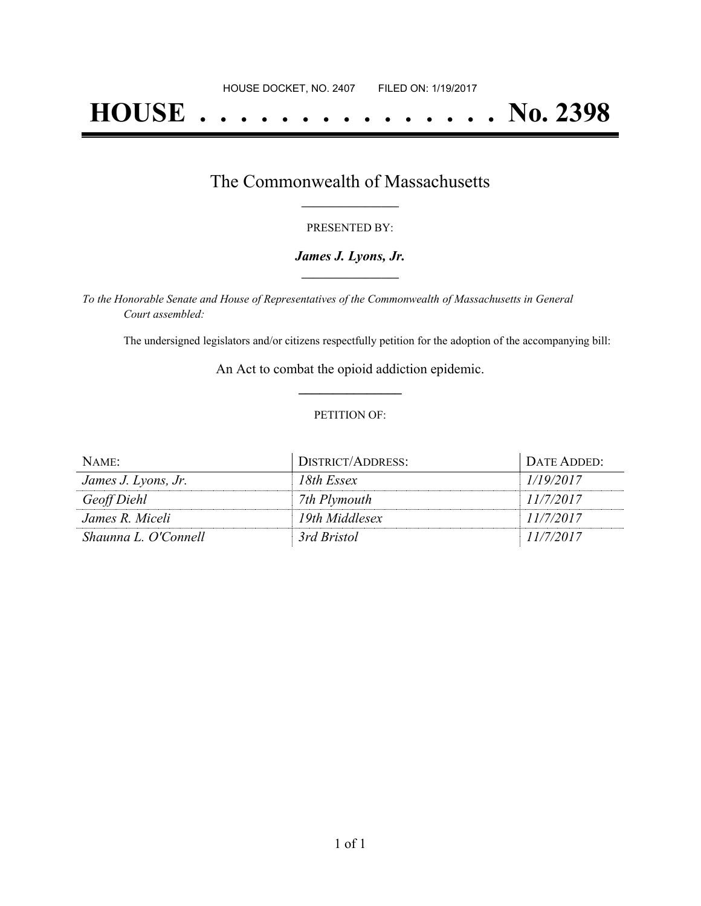# **HOUSE . . . . . . . . . . . . . . . No. 2398**

## The Commonwealth of Massachusetts **\_\_\_\_\_\_\_\_\_\_\_\_\_\_\_\_\_**

#### PRESENTED BY:

#### *James J. Lyons, Jr.* **\_\_\_\_\_\_\_\_\_\_\_\_\_\_\_\_\_**

*To the Honorable Senate and House of Representatives of the Commonwealth of Massachusetts in General Court assembled:*

The undersigned legislators and/or citizens respectfully petition for the adoption of the accompanying bill:

An Act to combat the opioid addiction epidemic. **\_\_\_\_\_\_\_\_\_\_\_\_\_\_\_**

#### PETITION OF:

| NAME:                | DISTRICT/ADDRESS: | DATE ADDED: |
|----------------------|-------------------|-------------|
| James J. Lyons, Jr.  | 18th Essex        | 1/19/2017   |
| Geoff Diehl          | 7th Plymouth      | 11/7/2017   |
| James R. Miceli      | 19th Middlesex    | 11/7/2017   |
| Shaunna L. O'Connell | 3rd Bristol       | 11/7/2017   |